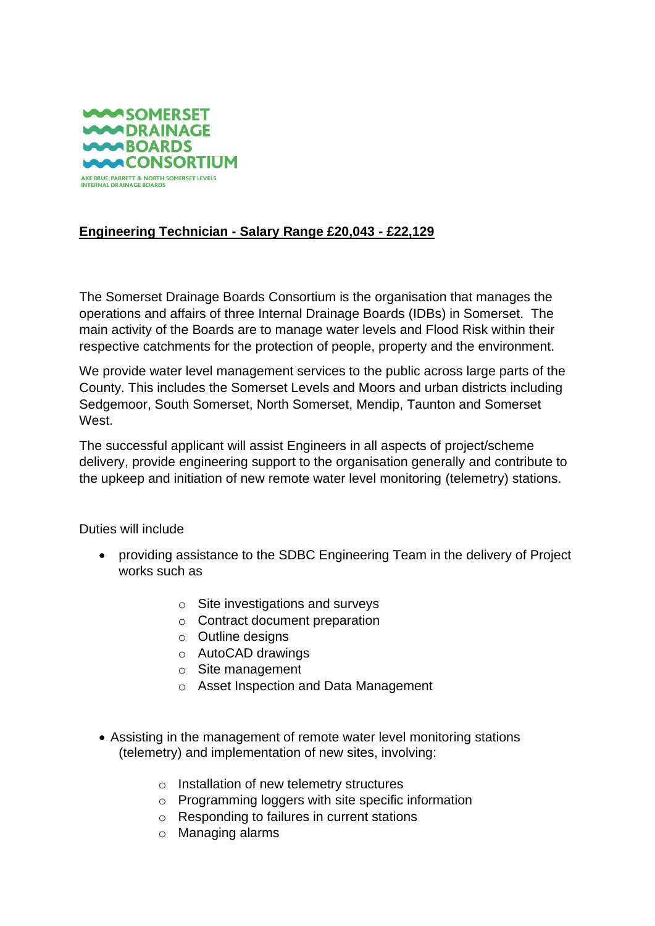

## **Engineering Technician - Salary Range £20,043 - £22,129**

The Somerset Drainage Boards Consortium is the organisation that manages the operations and affairs of three Internal Drainage Boards (IDBs) in Somerset. The main activity of the Boards are to manage water levels and Flood Risk within their respective catchments for the protection of people, property and the environment.

We provide water level management services to the public across large parts of the County. This includes the Somerset Levels and Moors and urban districts including Sedgemoor, South Somerset, North Somerset, Mendip, Taunton and Somerset West.

The successful applicant will assist Engineers in all aspects of project/scheme delivery, provide engineering support to the organisation generally and contribute to the upkeep and initiation of new remote water level monitoring (telemetry) stations.

Duties will include

- providing assistance to the SDBC Engineering Team in the delivery of Project works such as
	- o Site investigations and surveys
	- o Contract document preparation
	- o Outline designs
	- o AutoCAD drawings
	- o Site management
	- o Asset Inspection and Data Management
- Assisting in the management of remote water level monitoring stations (telemetry) and implementation of new sites, involving:
	- o Installation of new telemetry structures
	- o Programming loggers with site specific information
	- o Responding to failures in current stations
	- o Managing alarms